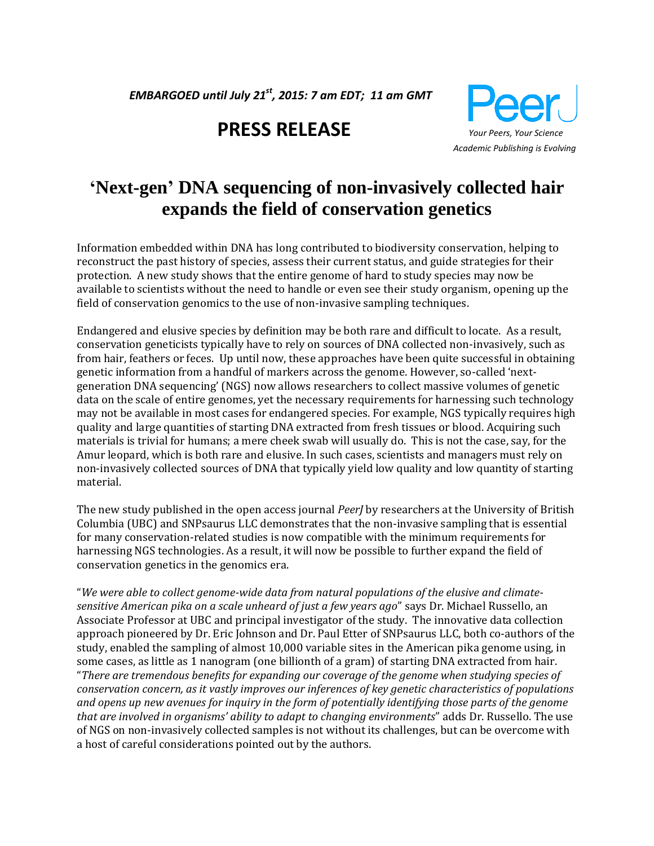*EMBARGOED until July 21 st, 2015: 7 am EDT; 11 am GMT* 

# **PRESS RELEASE** *Your Peers, Your Science*



# **'Next-gen' DNA sequencing of non-invasively collected hair expands the field of conservation genetics**

Information embedded within DNA has long contributed to biodiversity conservation, helping to reconstruct the past history of species, assess their current status, and guide strategies for their protection. A new study shows that the entire genome of hard to study species may now be available to scientists without the need to handle or even see their study organism, opening up the field of conservation genomics to the use of non-invasive sampling techniques.

Endangered and elusive species by definition may be both rare and difficult to locate. As a result, conservation geneticists typically have to rely on sources of DNA collected non-invasively, such as from hair, feathers or feces. Up until now, these approaches have been quite successful in obtaining genetic information from a handful of markers across the genome. However, so-called 'nextgeneration DNA sequencing' (NGS) now allows researchers to collect massive volumes of genetic data on the scale of entire genomes, yet the necessary requirements for harnessing such technology may not be available in most cases for endangered species. For example, NGS typically requires high quality and large quantities of starting DNA extracted from fresh tissues or blood. Acquiring such materials is trivial for humans; a mere cheek swab will usually do. This is not the case, say, for the Amur leopard, which is both rare and elusive. In such cases, scientists and managers must rely on non-invasively collected sources of DNA that typically yield low quality and low quantity of starting material.

The new study published in the open access journal *PeerJ* by researchers at the University of British Columbia (UBC) and SNPsaurus LLC demonstrates that the non-invasive sampling that is essential for many conservation-related studies is now compatible with the minimum requirements for harnessing NGS technologies. As a result, it will now be possible to further expand the field of conservation genetics in the genomics era.

"*We were able to collect genome-wide data from natural populations of the elusive and climatesensitive American pika on a scale unheard of just a few years ago*" says Dr. Michael Russello, an Associate Professor at UBC and principal investigator of the study. The innovative data collection approach pioneered by Dr. Eric Johnson and Dr. Paul Etter of SNPsaurus LLC, both co-authors of the study, enabled the sampling of almost 10,000 variable sites in the American pika genome using, in some cases, as little as 1 nanogram (one billionth of a gram) of starting DNA extracted from hair. "*There are tremendous benefits for expanding our coverage of the genome when studying species of conservation concern, as it vastly improves our inferences of key genetic characteristics of populations and opens up new avenues for inquiry in the form of potentially identifying those parts of the genome that are involved in organisms' ability to adapt to changing environments*" adds Dr. Russello. The use of NGS on non-invasively collected samples is not without its challenges, but can be overcome with a host of careful considerations pointed out by the authors.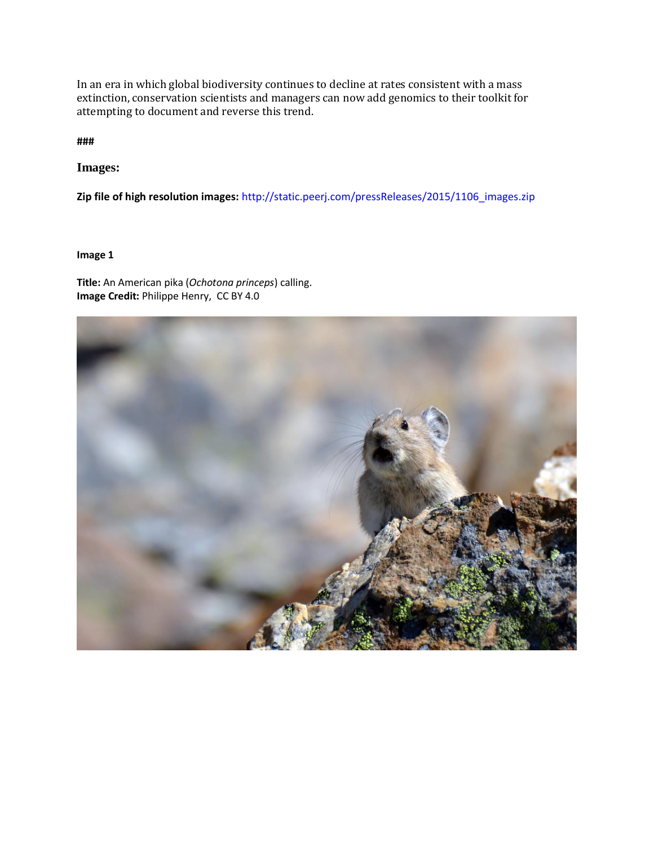In an era in which global biodiversity continues to decline at rates consistent with a mass extinction, conservation scientists and managers can now add genomics to their toolkit for attempting to document and reverse this trend.

**###** 

**Images:**

**Zip file of high resolution images:** [http://static.peerj.com/pressReleases/2015/1106\\_images.zip](http://static.peerj.com/pressReleases/2015/1106_images.zip) 

**Image 1**

**Title:** An American pika (*Ochotona princeps*) calling. **Image Credit:** Philippe Henry, CC BY 4.0

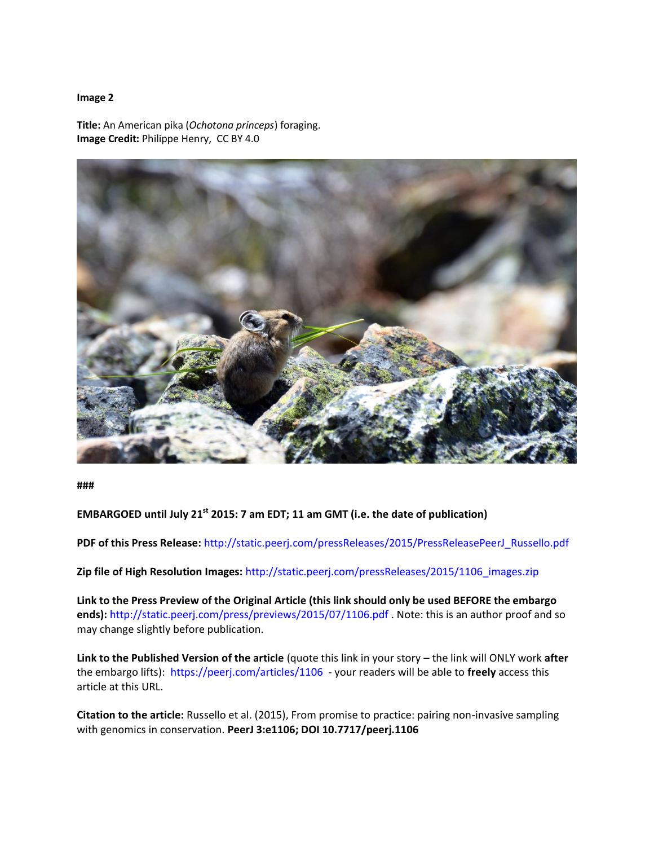#### **Image 2**

**Title:** An American pika (*Ochotona princeps*) foraging. **Image Credit:** Philippe Henry, CC BY 4.0



**###** 

## **EMBARGOED until July 21 st 2015: 7 am EDT; 11 am GMT (i.e. the date of publication)**

**PDF of this Press Release:** [http://static.peerj.com/pressReleases/2015/PressReleasePeerJ\\_Russello.pdf](http://static.peerj.com/pressReleases/2015/PressReleasePeerJ_Russello.pdf)

**Zip file of High Resolution Images:** [http://static.peerj.com/pressReleases/2015/1106\\_images.zip](http://static.peerj.com/pressReleases/2015/1106_images.zip) 

**Link to the Press Preview of the Original Article (this link should only be used BEFORE the embargo ends):** <http://static.peerj.com/press/previews/2015/07/1106.pdf> . Note: this is an author proof and so may change slightly before publication.

**Link to the Published Version of the article** (quote this link in your story – the link will ONLY work **after** the embargo lifts):<https://peerj.com/articles/1106> - your readers will be able to **freely** access this article at this URL.

**Citation to the article:** Russello et al. (2015), From promise to practice: pairing non-invasive sampling with genomics in conservation. **PeerJ 3:e1106; DOI 10.7717/peerj.1106**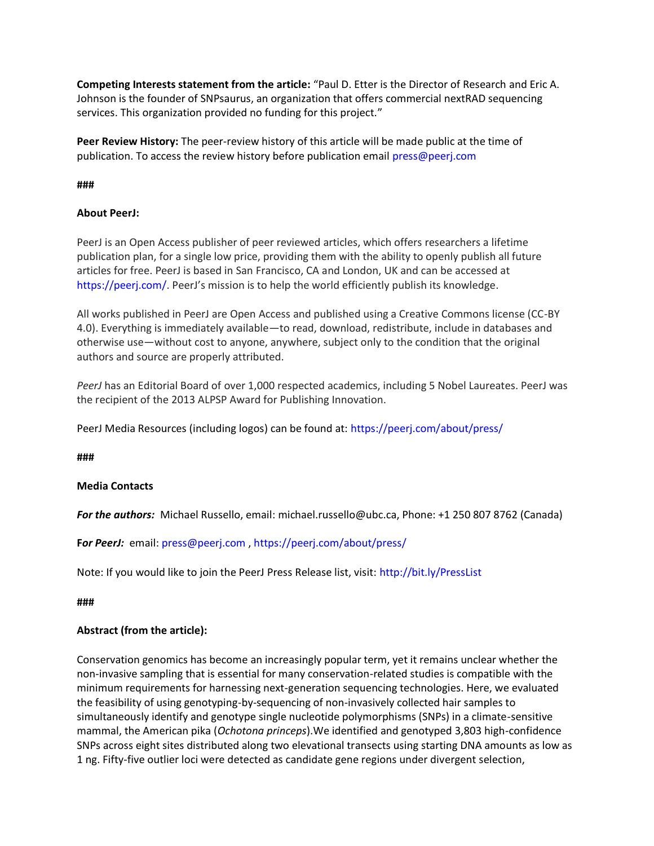**Competing Interests statement from the article:** "Paul D. Etter is the Director of Research and Eric A. Johnson is the founder of SNPsaurus, an organization that offers commercial nextRAD sequencing services. This organization provided no funding for this project."

**Peer Review History:** The peer-review history of this article will be made public at the time of publication. To access the review history before publication email [press@peerj.com](mailto:press@peerj.com)

**###**

### **About PeerJ:**

PeerJ is an Open Access publisher of peer reviewed articles, which offers researchers a lifetime publication plan, for a single low price, providing them with the ability to openly publish all future articles for free. PeerJ is based in San Francisco, CA and London, UK and can be accessed at <https://peerj.com/>. PeerJ's mission is to help the world efficiently publish its knowledge.

All works published in PeerJ are Open Access and published using a Creative Commons license (CC-BY 4.0). Everything is immediately available—to read, download, redistribute, include in databases and otherwise use—without cost to anyone, anywhere, subject only to the condition that the original authors and source are properly attributed.

*PeerJ* has an Editorial Board of over 1,000 respected academics, including 5 Nobel Laureates. PeerJ was the recipient of the 2013 ALPSP Award for Publishing Innovation.

PeerJ Media Resources (including logos) can be found at:<https://peerj.com/about/press/>

**###**

### **Media Contacts**

*For the authors:* Michael Russello, email: [michael.russello@ubc.ca,](x-apple-msg-load://C95B8B98-2269-4CA4-96D4-FA3E8C45F820/michael.russello@ubc.ca) Phone: +1 250 807 8762 (Canada)

**F***or PeerJ:* email: [press@peerj.com](mailto:press@peerj.com) , <https://peerj.com/about/press/>

Note: If you would like to join the PeerJ Press Release list, visit:<http://bit.ly/PressList>

**###**

### **Abstract (from the article):**

Conservation genomics has become an increasingly popular term, yet it remains unclear whether the non-invasive sampling that is essential for many conservation-related studies is compatible with the minimum requirements for harnessing next-generation sequencing technologies. Here, we evaluated the feasibility of using genotyping-by-sequencing of non-invasively collected hair samples to simultaneously identify and genotype single nucleotide polymorphisms (SNPs) in a climate-sensitive mammal, the American pika (*Ochotona princeps*).We identified and genotyped 3,803 high-confidence SNPs across eight sites distributed along two elevational transects using starting DNA amounts as low as 1 ng. Fifty-five outlier loci were detected as candidate gene regions under divergent selection,